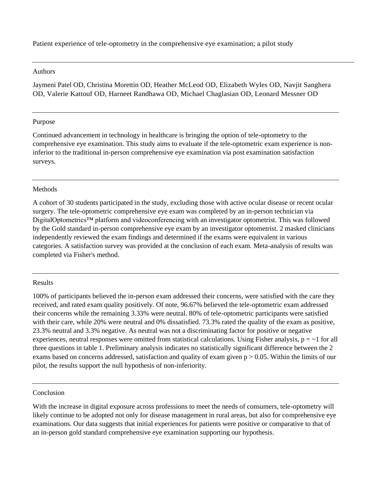Patient experience of tele-optometry in the comprehensive eye examination; a pilot study

#### Authors

Jaymeni Patel OD, Christina Morettin OD, Heather McLeod OD, Elizabeth Wyles OD, Navjit Sanghera OD, Valerie Kattouf OD, Harneet Randhawa OD, Michael Chaglasian OD, Leonard Messner OD

## Purpose

Continued advancement in technology in healthcare is bringing the option of tele-optometry to the comprehensive eye examination. This study aims to evaluate if the tele-optometric exam experience is noninferior to the traditional in-person comprehensive eye examination via post examination satisfaction surveys.

### Methods

A cohort of 30 students participated in the study, excluding those with active ocular disease or recent ocular surgery. The tele-optometric comprehensive eye exam was completed by an in-person technician via DigitalOptometrics™ platform and videoconferencing with an investigator optometrist. This was followed by the Gold standard in-person comprehensive eye exam by an investigator optometrist. 2 masked clinicians independently reviewed the exam findings and determined if the exams were equivalent in various categories. A satisfaction survey was provided at the conclusion of each exam. Meta-analysis of results was completed via Fisher's method.

#### Results

100% of participants believed the in-person exam addressed their concerns, were satisfied with the care they received, and rated exam quality positively. Of note, 96.67% believed the tele-optometric exam addressed their concerns while the remaining 3.33% were neutral. 80% of tele-optometric participants were satisfied with their care, while 20% were neutral and 0% dissatisfied. 73.3% rated the quality of the exam as positive, 23.3% neutral and 3.3% negative. As neutral was not a discriminating factor for positive or negative experiences, neutral responses were omitted from statistical calculations. Using Fisher analysis,  $p = -1$  for all three questions in table 1. Preliminary analysis indicates no statistically significant difference between the 2 exams based on concerns addressed, satisfaction and quality of exam given  $p > 0.05$ . Within the limits of our pilot, the results support the null hypothesis of non-inferiority.

#### Conclusion

With the increase in digital exposure across professions to meet the needs of consumers, tele-optometry will likely continue to be adopted not only for disease management in rural areas, but also for comprehensive eye examinations. Our data suggests that initial experiences for patients were positive or comparative to that of an in-person gold standard comprehensive eye examination supporting our hypothesis.